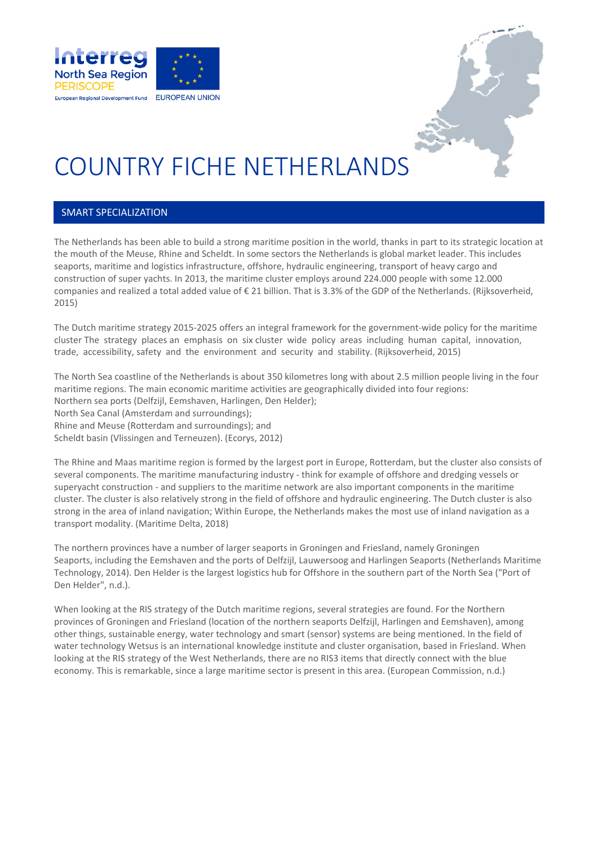



### COUNTRY FICHE NETHERLANDS

#### SMART SPECIALIZATION

The Netherlands has been able to build a strong maritime position in the world, thanks in part to its strategic location at the mouth of the Meuse, Rhine and Scheldt. In some sectors the Netherlands is global market leader. This includes seaports, maritime and logistics infrastructure, offshore, hydraulic engineering, transport of heavy cargo and construction of super yachts. In 2013, the maritime cluster employs around 224.000 people with some 12.000 companies and realized a total added value of € 21 billion. That is 3.3% of the GDP of the Netherlands. (Rijksoverheid, 2015)

The Dutch maritime strategy 2015‐2025 offers an integral framework for the government‐wide policy for the maritime cluster The strategy places an emphasis on six cluster wide policy areas including human capital, innovation, trade, accessibility, safety and the environment and security and stability. (Rijksoverheid, 2015)

The North Sea coastline of the Netherlands is about 350 kilometres long with about 2.5 million people living in the four maritime regions. The main economic maritime activities are geographically divided into four regions: Northern sea ports (Delfzijl, Eemshaven, Harlingen, Den Helder); North Sea Canal (Amsterdam and surroundings); Rhine and Meuse (Rotterdam and surroundings); and Scheldt basin (Vlissingen and Terneuzen). (Ecorys, 2012)

The Rhine and Maas maritime region is formed by the largest port in Europe, Rotterdam, but the cluster also consists of several components. The maritime manufacturing industry ‐ think for example of offshore and dredging vessels or superyacht construction ‐ and suppliers to the maritime network are also important components in the maritime cluster. The cluster is also relatively strong in the field of offshore and hydraulic engineering. The Dutch cluster is also strong in the area of inland navigation; Within Europe, the Netherlands makes the most use of inland navigation as a transport modality. (Maritime Delta, 2018)

The northern provinces have a number of larger seaports in Groningen and Friesland, namely Groningen Seaports, including the Eemshaven and the ports of Delfzijl, Lauwersoog and Harlingen Seaports (Netherlands Maritime Technology, 2014). Den Helder is the largest logistics hub for Offshore in the southern part of the North Sea ("Port of Den Helder", n.d.).

When looking at the RIS strategy of the Dutch maritime regions, several strategies are found. For the Northern provinces of Groningen and Friesland (location of the northern seaports Delfzijl, Harlingen and Eemshaven), among other things, sustainable energy, water technology and smart (sensor) systems are being mentioned. In the field of water technology Wetsus is an international knowledge institute and cluster organisation, based in Friesland. When looking at the RIS strategy of the West Netherlands, there are no RIS3 items that directly connect with the blue economy. This is remarkable, since a large maritime sector is present in this area. (European Commission, n.d.)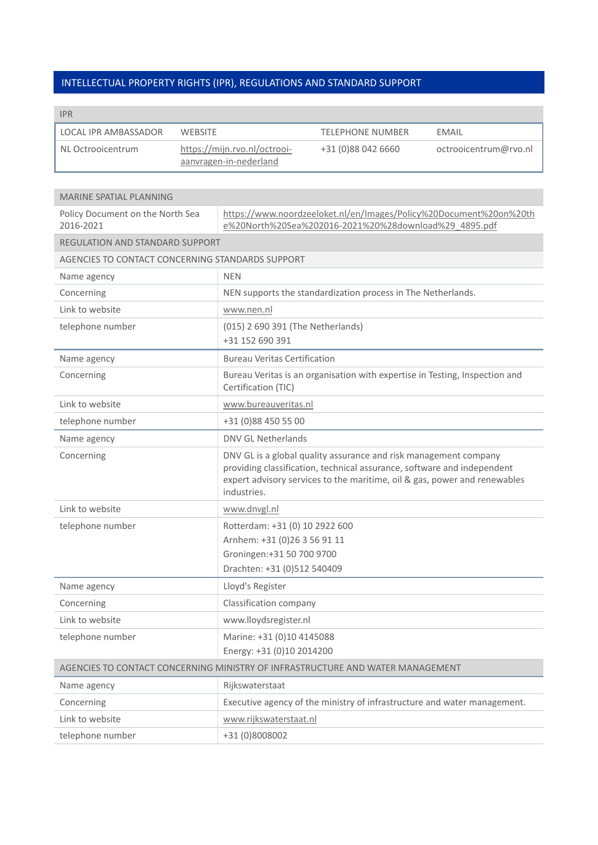### INTELLECTUAL PROPERTY RIGHTS (IPR), REGULATIONS AND STANDARD SUPPORT

| <b>IPR</b>           |                                                        |                         |                       |
|----------------------|--------------------------------------------------------|-------------------------|-----------------------|
| LOCAL IPR AMBASSADOR | WEBSITE                                                | <b>TELEPHONE NUMBER</b> | EMAIL                 |
| NL Octrooicentrum    | https://mijn.rvo.nl/octrooi-<br>aanvragen-in-nederland | +31 (0)88 042 6660      | octrooicentrum@rvo.nl |

| <b>MARINE SPATIAL PLANNING</b>                   |                                                                                                                                                                                                                                         |
|--------------------------------------------------|-----------------------------------------------------------------------------------------------------------------------------------------------------------------------------------------------------------------------------------------|
| Policy Document on the North Sea<br>2016-2021    | https://www.noordzeeloket.nl/en/Images/Policy%20Document%20on%20th<br>e%20North%20Sea%202016-2021%20%28download%29 4895.pdf                                                                                                             |
| <b>REGULATION AND STANDARD SUPPORT</b>           |                                                                                                                                                                                                                                         |
| AGENCIES TO CONTACT CONCERNING STANDARDS SUPPORT |                                                                                                                                                                                                                                         |
| Name agency                                      | <b>NEN</b>                                                                                                                                                                                                                              |
| Concerning                                       | NEN supports the standardization process in The Netherlands.                                                                                                                                                                            |
| Link to website                                  | www.nen.nl                                                                                                                                                                                                                              |
| telephone number                                 | (015) 2 690 391 (The Netherlands)<br>+31 152 690 391                                                                                                                                                                                    |
| Name agency                                      | <b>Bureau Veritas Certification</b>                                                                                                                                                                                                     |
| Concerning                                       | Bureau Veritas is an organisation with expertise in Testing, Inspection and<br>Certification (TIC)                                                                                                                                      |
| Link to website                                  | www.bureauveritas.nl                                                                                                                                                                                                                    |
| telephone number                                 | +31 (0)88 450 55 00                                                                                                                                                                                                                     |
| Name agency                                      | <b>DNV GL Netherlands</b>                                                                                                                                                                                                               |
| Concerning                                       | DNV GL is a global quality assurance and risk management company<br>providing classification, technical assurance, software and independent<br>expert advisory services to the maritime, oil & gas, power and renewables<br>industries. |
| Link to website                                  | www.dnvgl.nl                                                                                                                                                                                                                            |
| telephone number                                 | Rotterdam: +31 (0) 10 2922 600<br>Arnhem: +31 (0)26 3 56 91 11<br>Groningen:+31 50 700 9700<br>Drachten: +31 (0)512 540409                                                                                                              |
| Name agency                                      | Lloyd's Register                                                                                                                                                                                                                        |
| Concerning                                       | Classification company                                                                                                                                                                                                                  |
| Link to website                                  | www.lloydsregister.nl                                                                                                                                                                                                                   |
| telephone number                                 | Marine: +31 (0)10 4145088<br>Energy: +31 (0)10 2014200                                                                                                                                                                                  |
|                                                  | AGENCIES TO CONTACT CONCERNING MINISTRY OF INFRASTRUCTURE AND WATER MANAGEMENT                                                                                                                                                          |
| Name agency                                      | Rijkswaterstaat                                                                                                                                                                                                                         |
| Concerning                                       | Executive agency of the ministry of infrastructure and water management.                                                                                                                                                                |
| Link to website                                  | www.rijkswaterstaat.nl                                                                                                                                                                                                                  |
| telephone number                                 | +31 (0)8008002                                                                                                                                                                                                                          |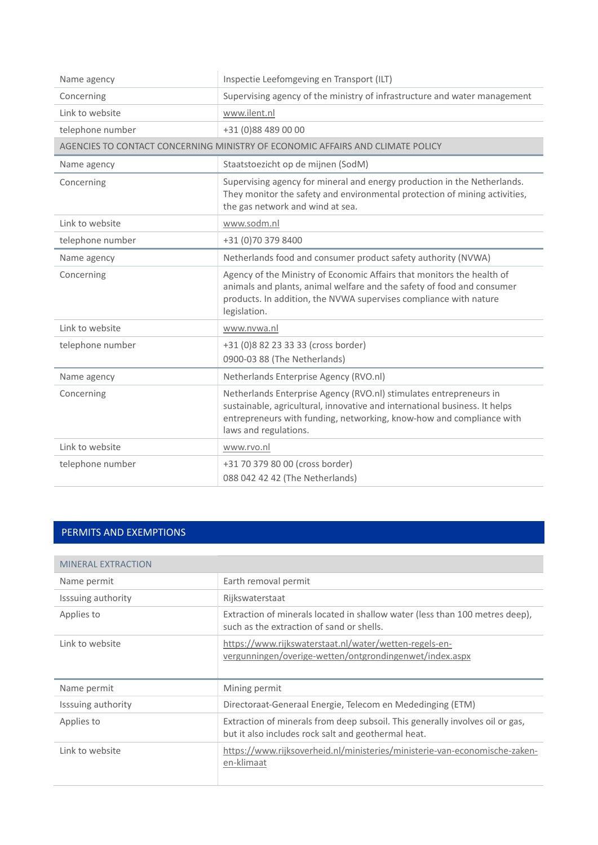| Name agency      | Inspectie Leefomgeving en Transport (ILT)                                                                                                                                                                                                         |
|------------------|---------------------------------------------------------------------------------------------------------------------------------------------------------------------------------------------------------------------------------------------------|
| Concerning       | Supervising agency of the ministry of infrastructure and water management                                                                                                                                                                         |
| Link to website  | www.ilent.nl                                                                                                                                                                                                                                      |
| telephone number | +31 (0)88 489 00 00                                                                                                                                                                                                                               |
|                  | AGENCIES TO CONTACT CONCERNING MINISTRY OF ECONOMIC AFFAIRS AND CLIMATE POLICY                                                                                                                                                                    |
| Name agency      | Staatstoezicht op de mijnen (SodM)                                                                                                                                                                                                                |
| Concerning       | Supervising agency for mineral and energy production in the Netherlands.<br>They monitor the safety and environmental protection of mining activities,<br>the gas network and wind at sea.                                                        |
| Link to website  | www.sodm.nl                                                                                                                                                                                                                                       |
| telephone number | +31 (0)70 379 8400                                                                                                                                                                                                                                |
| Name agency      | Netherlands food and consumer product safety authority (NVWA)                                                                                                                                                                                     |
| Concerning       | Agency of the Ministry of Economic Affairs that monitors the health of<br>animals and plants, animal welfare and the safety of food and consumer<br>products. In addition, the NVWA supervises compliance with nature<br>legislation.             |
| Link to website  | www.nvwa.nl                                                                                                                                                                                                                                       |
| telephone number | +31 (0)8 82 23 33 33 (cross border)<br>0900-03 88 (The Netherlands)                                                                                                                                                                               |
| Name agency      | Netherlands Enterprise Agency (RVO.nl)                                                                                                                                                                                                            |
| Concerning       | Netherlands Enterprise Agency (RVO.nl) stimulates entrepreneurs in<br>sustainable, agricultural, innovative and international business. It helps<br>entrepreneurs with funding, networking, know-how and compliance with<br>laws and regulations. |
| Link to website  | www.rvo.nl                                                                                                                                                                                                                                        |
| telephone number | +31 70 379 80 00 (cross border)<br>088 042 42 42 (The Netherlands)                                                                                                                                                                                |

### PERMITS AND EXEMPTIONS

| <b>MINERAL EXTRACTION</b> |                                                                                                                                      |
|---------------------------|--------------------------------------------------------------------------------------------------------------------------------------|
| Name permit               | Earth removal permit                                                                                                                 |
| Isssuing authority        | Rijkswaterstaat                                                                                                                      |
| Applies to                | Extraction of minerals located in shallow water (less than 100 metres deep),<br>such as the extraction of sand or shells.            |
| Link to website           | https://www.rijkswaterstaat.nl/water/wetten-regels-en-<br>vergunningen/overige-wetten/ontgrondingenwet/index.aspx                    |
| Name permit               | Mining permit                                                                                                                        |
| Isssuing authority        | Directoraat-Generaal Energie, Telecom en Mededinging (ETM)                                                                           |
| Applies to                | Extraction of minerals from deep subsoil. This generally involves oil or gas,<br>but it also includes rock salt and geothermal heat. |
| Link to website           | https://www.rijksoverheid.nl/ministeries/ministerie-van-economische-zaken-<br>en-klimaat                                             |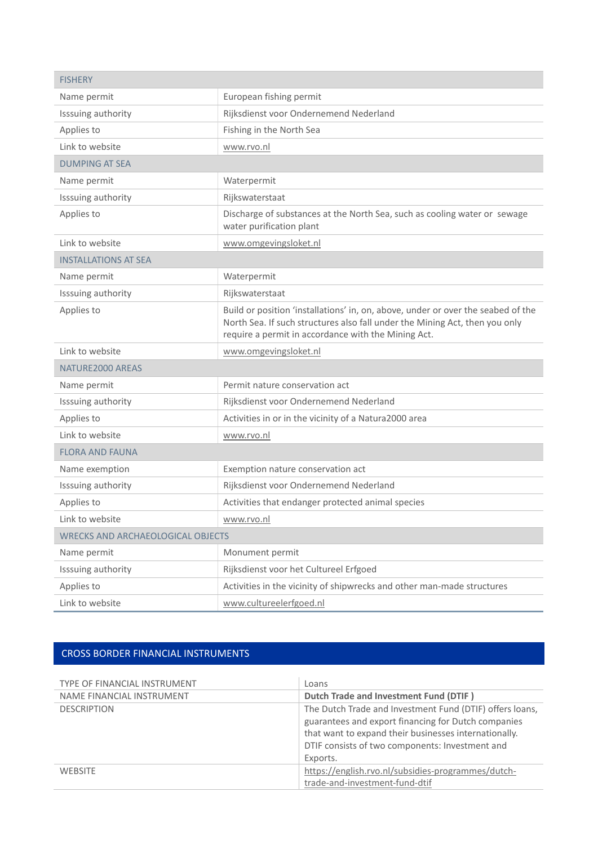| <b>FISHERY</b>                           |                                                                                                                                                                                                                        |
|------------------------------------------|------------------------------------------------------------------------------------------------------------------------------------------------------------------------------------------------------------------------|
| Name permit                              | European fishing permit                                                                                                                                                                                                |
| Isssuing authority                       | Rijksdienst voor Ondernemend Nederland                                                                                                                                                                                 |
| Applies to                               | Fishing in the North Sea                                                                                                                                                                                               |
| Link to website                          | www.rvo.nl                                                                                                                                                                                                             |
| <b>DUMPING AT SEA</b>                    |                                                                                                                                                                                                                        |
| Name permit                              | Waterpermit                                                                                                                                                                                                            |
| Isssuing authority                       | Rijkswaterstaat                                                                                                                                                                                                        |
| Applies to                               | Discharge of substances at the North Sea, such as cooling water or sewage<br>water purification plant                                                                                                                  |
| Link to website                          | www.omgevingsloket.nl                                                                                                                                                                                                  |
| <b>INSTALLATIONS AT SEA</b>              |                                                                                                                                                                                                                        |
| Name permit                              | Waterpermit                                                                                                                                                                                                            |
| Isssuing authority                       | Rijkswaterstaat                                                                                                                                                                                                        |
| Applies to                               | Build or position 'installations' in, on, above, under or over the seabed of the<br>North Sea. If such structures also fall under the Mining Act, then you only<br>require a permit in accordance with the Mining Act. |
| Link to website                          | www.omgevingsloket.nl                                                                                                                                                                                                  |
| NATURE2000 AREAS                         |                                                                                                                                                                                                                        |
| Name permit                              | Permit nature conservation act                                                                                                                                                                                         |
| Isssuing authority                       | Rijksdienst voor Ondernemend Nederland                                                                                                                                                                                 |
| Applies to                               | Activities in or in the vicinity of a Natura2000 area                                                                                                                                                                  |
| Link to website                          | www.rvo.nl                                                                                                                                                                                                             |
| <b>FLORA AND FAUNA</b>                   |                                                                                                                                                                                                                        |
| Name exemption                           | Exemption nature conservation act                                                                                                                                                                                      |
| Isssuing authority                       | Rijksdienst voor Ondernemend Nederland                                                                                                                                                                                 |
| Applies to                               | Activities that endanger protected animal species                                                                                                                                                                      |
| Link to website                          | www.rvo.nl                                                                                                                                                                                                             |
| <b>WRECKS AND ARCHAEOLOGICAL OBJECTS</b> |                                                                                                                                                                                                                        |
| Name permit                              | Monument permit                                                                                                                                                                                                        |
| Isssuing authority                       | Rijksdienst voor het Cultureel Erfgoed                                                                                                                                                                                 |
| Applies to                               | Activities in the vicinity of shipwrecks and other man-made structures                                                                                                                                                 |
| Link to website                          | www.cultureelerfgoed.nl                                                                                                                                                                                                |

### CROSS BORDER FINANCIAL INSTRUMENTS

| TYPE OF FINANCIAL INSTRUMENT | Loans                                                    |
|------------------------------|----------------------------------------------------------|
| NAME FINANCIAL INSTRUMENT    | Dutch Trade and Investment Fund (DTIF)                   |
| <b>DESCRIPTION</b>           | The Dutch Trade and Investment Fund (DTIF) offers loans, |
|                              | guarantees and export financing for Dutch companies      |
|                              | that want to expand their businesses internationally.    |
|                              | DTIF consists of two components: Investment and          |
|                              | Exports.                                                 |
| <b>WEBSITE</b>               | https://english.rvo.nl/subsidies-programmes/dutch-       |
|                              | trade-and-investment-fund-dtif                           |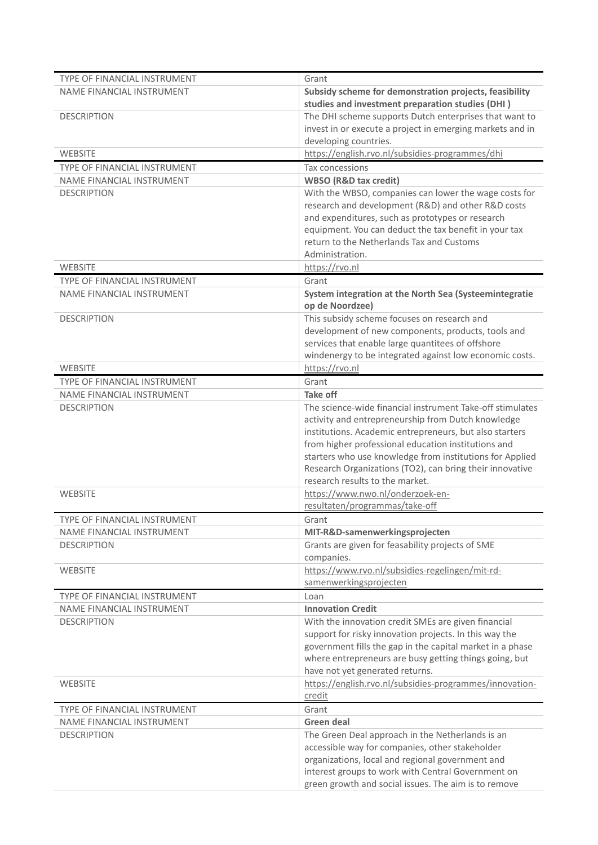| <b>TYPE OF FINANCIAL INSTRUMENT</b>                       | Grant                                                                                             |
|-----------------------------------------------------------|---------------------------------------------------------------------------------------------------|
| NAME FINANCIAL INSTRUMENT                                 | Subsidy scheme for demonstration projects, feasibility                                            |
|                                                           | studies and investment preparation studies (DHI)                                                  |
| <b>DESCRIPTION</b>                                        | The DHI scheme supports Dutch enterprises that want to                                            |
|                                                           | invest in or execute a project in emerging markets and in                                         |
|                                                           | developing countries.                                                                             |
| <b>WEBSITE</b>                                            | https://english.rvo.nl/subsidies-programmes/dhi                                                   |
| TYPE OF FINANCIAL INSTRUMENT                              | Tax concessions                                                                                   |
| NAME FINANCIAL INSTRUMENT                                 | <b>WBSO</b> (R&D tax credit)                                                                      |
| <b>DESCRIPTION</b>                                        | With the WBSO, companies can lower the wage costs for                                             |
|                                                           | research and development (R&D) and other R&D costs                                                |
|                                                           | and expenditures, such as prototypes or research                                                  |
|                                                           | equipment. You can deduct the tax benefit in your tax                                             |
|                                                           | return to the Netherlands Tax and Customs                                                         |
|                                                           | Administration.                                                                                   |
| <b>WEBSITE</b>                                            | https://rvo.nl                                                                                    |
| TYPE OF FINANCIAL INSTRUMENT                              | Grant                                                                                             |
| NAME FINANCIAL INSTRUMENT                                 | System integration at the North Sea (Systeemintegratie                                            |
|                                                           | op de Noordzee)                                                                                   |
| <b>DESCRIPTION</b>                                        | This subsidy scheme focuses on research and<br>development of new components, products, tools and |
|                                                           | services that enable large quantitees of offshore                                                 |
|                                                           | windenergy to be integrated against low economic costs.                                           |
| <b>WEBSITE</b>                                            | https://rvo.nl                                                                                    |
| TYPE OF FINANCIAL INSTRUMENT                              | Grant                                                                                             |
| NAME FINANCIAL INSTRUMENT                                 | <b>Take off</b>                                                                                   |
| <b>DESCRIPTION</b>                                        | The science-wide financial instrument Take-off stimulates                                         |
|                                                           | activity and entrepreneurship from Dutch knowledge                                                |
|                                                           | institutions. Academic entrepreneurs, but also starters                                           |
|                                                           | from higher professional education institutions and                                               |
|                                                           | starters who use knowledge from institutions for Applied                                          |
|                                                           | Research Organizations (TO2), can bring their innovative                                          |
|                                                           | research results to the market.                                                                   |
| <b>WEBSITE</b>                                            | https://www.nwo.nl/onderzoek-en-                                                                  |
|                                                           | resultaten/programmas/take-off                                                                    |
| TYPE OF FINANCIAL INSTRUMENT                              | Grant                                                                                             |
| NAME FINANCIAL INSTRUMENT                                 | MIT-R&D-samenwerkingsprojecten                                                                    |
| <b>DESCRIPTION</b>                                        | Grants are given for feasability projects of SME                                                  |
|                                                           | companies.                                                                                        |
| WEBSITE                                                   | https://www.rvo.nl/subsidies-regelingen/mit-rd-                                                   |
|                                                           | samenwerkingsprojecten                                                                            |
| TYPE OF FINANCIAL INSTRUMENT<br>NAME FINANCIAL INSTRUMENT | Loan<br><b>Innovation Credit</b>                                                                  |
| <b>DESCRIPTION</b>                                        | With the innovation credit SMEs are given financial                                               |
|                                                           | support for risky innovation projects. In this way the                                            |
|                                                           | government fills the gap in the capital market in a phase                                         |
|                                                           | where entrepreneurs are busy getting things going, but                                            |
|                                                           | have not yet generated returns.                                                                   |
| <b>WEBSITE</b>                                            | https://english.rvo.nl/subsidies-programmes/innovation-                                           |
|                                                           | credit                                                                                            |
| TYPE OF FINANCIAL INSTRUMENT                              | Grant                                                                                             |
| NAME FINANCIAL INSTRUMENT                                 | <b>Green deal</b>                                                                                 |
| <b>DESCRIPTION</b>                                        | The Green Deal approach in the Netherlands is an                                                  |
|                                                           | accessible way for companies, other stakeholder                                                   |
|                                                           | organizations, local and regional government and                                                  |
|                                                           | interest groups to work with Central Government on                                                |
|                                                           | green growth and social issues. The aim is to remove                                              |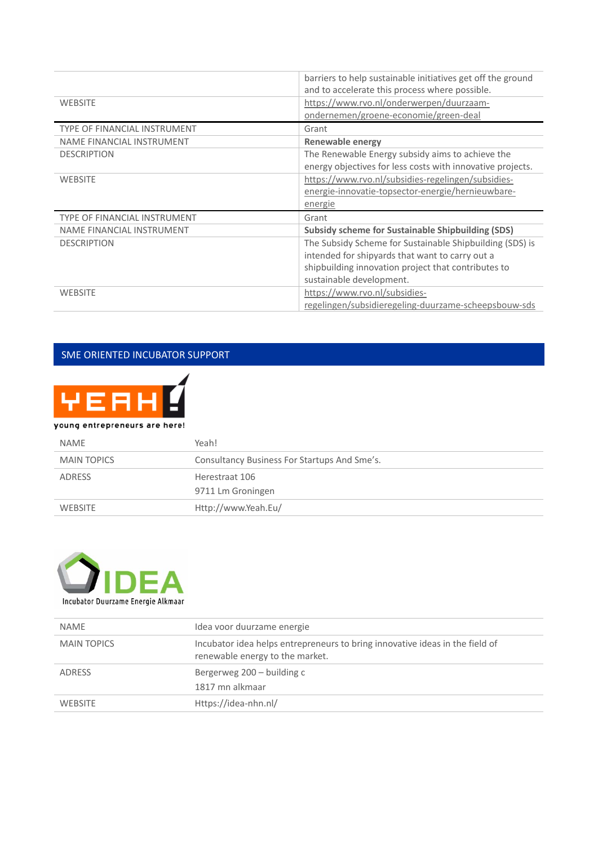|                                     | barriers to help sustainable initiatives get off the ground |
|-------------------------------------|-------------------------------------------------------------|
|                                     | and to accelerate this process where possible.              |
| <b>WEBSITE</b>                      | https://www.rvo.nl/onderwerpen/duurzaam-                    |
|                                     | ondernemen/groene-economie/green-deal                       |
| <b>TYPE OF FINANCIAL INSTRUMENT</b> | Grant                                                       |
| NAME FINANCIAL INSTRUMENT           | Renewable energy                                            |
| <b>DESCRIPTION</b>                  | The Renewable Energy subsidy aims to achieve the            |
|                                     | energy objectives for less costs with innovative projects.  |
| <b>WEBSITE</b>                      | https://www.rvo.nl/subsidies-regelingen/subsidies-          |
|                                     | energie-innovatie-topsector-energie/hernieuwbare-           |
|                                     | energie                                                     |
| <b>TYPE OF FINANCIAL INSTRUMENT</b> | Grant                                                       |
| NAME FINANCIAL INSTRUMENT           | <b>Subsidy scheme for Sustainable Shipbuilding (SDS)</b>    |
| <b>DESCRIPTION</b>                  | The Subsidy Scheme for Sustainable Shipbuilding (SDS) is    |
|                                     | intended for shipyards that want to carry out a             |
|                                     | shipbuilding innovation project that contributes to         |
|                                     | sustainable development.                                    |
| <b>WEBSITE</b>                      | https://www.rvo.nl/subsidies-                               |
|                                     | regelingen/subsidieregeling-duurzame-scheepsbouw-sds        |

### SME ORIENTED INCUBATOR SUPPORT



#### young entrepreneurs are here!

| <b>NAMF</b>    | Yeah!                                        |
|----------------|----------------------------------------------|
| MAIN TOPICS    | Consultancy Business For Startups And Sme's. |
| ADRESS         | Herestraat 106                               |
|                | 9711 Lm Groningen                            |
| <b>WEBSITE</b> | Http://www.Yeah.Eu/                          |



| <b>NAME</b>        | Idea voor duurzame energie                                                                                      |
|--------------------|-----------------------------------------------------------------------------------------------------------------|
| <b>MAIN TOPICS</b> | Incubator idea helps entrepreneurs to bring innovative ideas in the field of<br>renewable energy to the market. |
| ADRESS             | Bergerweg 200 – building c<br>1817 mn alkmaar                                                                   |
| <b>WEBSITE</b>     | Https://idea-nhn.nl/                                                                                            |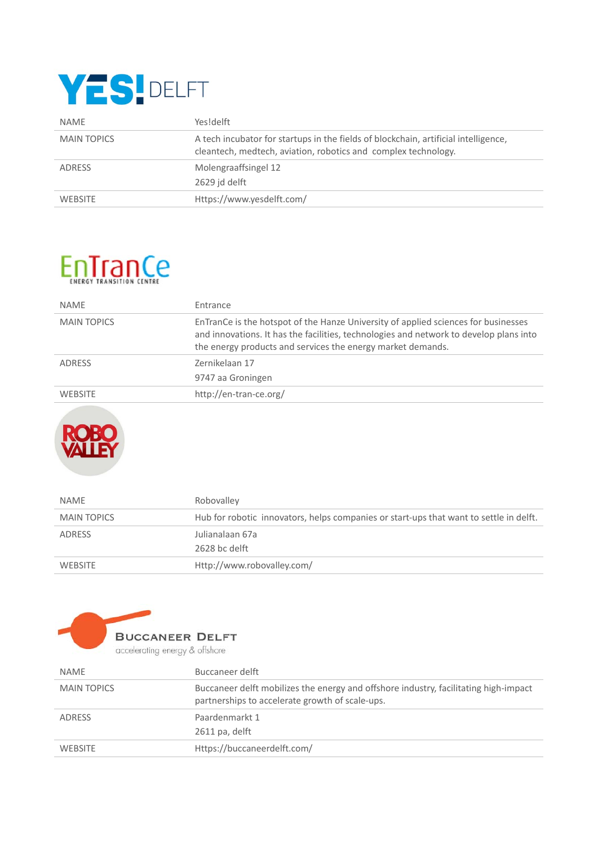## YES! DELFT

| <b>NAME</b>        | Yes!delft                                                                                                                                             |
|--------------------|-------------------------------------------------------------------------------------------------------------------------------------------------------|
| <b>MAIN TOPICS</b> | A tech incubator for startups in the fields of blockchain, artificial intelligence,<br>cleantech, medtech, aviation, robotics and complex technology. |
| ADRESS             | Molengraaffsingel 12<br>2629 id delft                                                                                                                 |
| <b>WEBSITE</b>     | Https://www.yesdelft.com/                                                                                                                             |

### EnTrans

| <b>NAME</b>        | Entrance                                                                                                                                                                                                                                    |
|--------------------|---------------------------------------------------------------------------------------------------------------------------------------------------------------------------------------------------------------------------------------------|
| <b>MAIN TOPICS</b> | EnTranCe is the hotspot of the Hanze University of applied sciences for businesses<br>and innovations. It has the facilities, technologies and network to develop plans into<br>the energy products and services the energy market demands. |
| ADRESS             | Zernikelaan 17<br>9747 aa Groningen                                                                                                                                                                                                         |
| <b>WEBSITE</b>     | http://en-tran-ce.org/                                                                                                                                                                                                                      |



| <b>NAME</b>        | Robovalley                                                                             |
|--------------------|----------------------------------------------------------------------------------------|
| <b>MAIN TOPICS</b> | Hub for robotic innovators, helps companies or start-ups that want to settle in delft. |
| ADRESS             | Julianalaan 67a                                                                        |
|                    | 2628 bc delft                                                                          |
| <b>WEBSITE</b>     | Http://www.robovalley.com/                                                             |



| <b>NAME</b>        | Buccaneer delft                                                                                                                         |
|--------------------|-----------------------------------------------------------------------------------------------------------------------------------------|
| <b>MAIN TOPICS</b> | Buccaneer delft mobilizes the energy and offshore industry, facilitating high-impact<br>partnerships to accelerate growth of scale-ups. |
| ADRESS             | Paardenmarkt 1<br>2611 pa, delft                                                                                                        |
| <b>WEBSITE</b>     | Https://buccaneerdelft.com/                                                                                                             |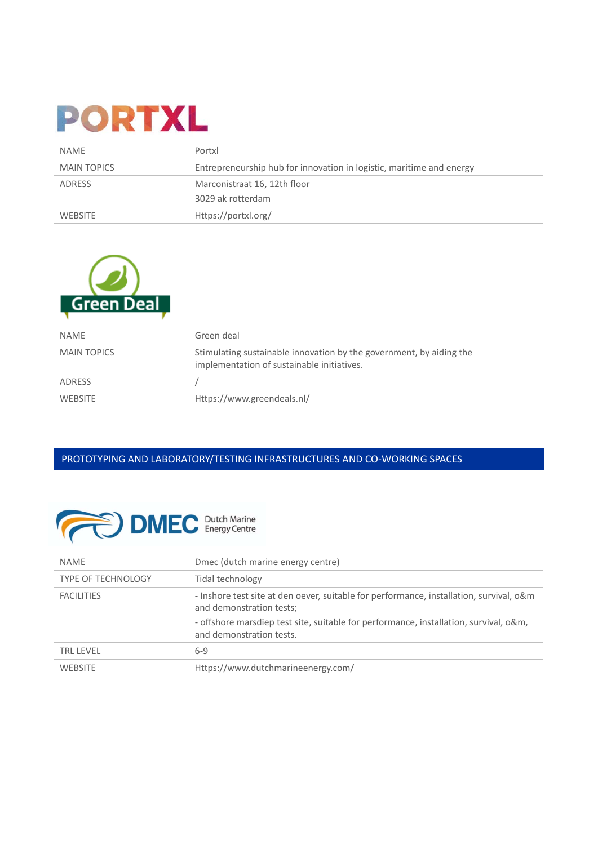## **PORTXL**

| <b>NAME</b>        | Portxl                                                               |
|--------------------|----------------------------------------------------------------------|
| <b>MAIN TOPICS</b> | Entrepreneurship hub for innovation in logistic, maritime and energy |
| ADRESS             | Marconistraat 16, 12th floor                                         |
|                    | 3029 ak rotterdam                                                    |
| WEBSITE            | Https://portxl.org/                                                  |



| <b>NAME</b>        | Green deal                                                                                                        |
|--------------------|-------------------------------------------------------------------------------------------------------------------|
| <b>MAIN TOPICS</b> | Stimulating sustainable innovation by the government, by aiding the<br>implementation of sustainable initiatives. |
| ADRESS             |                                                                                                                   |
| <b>WEBSITE</b>     | Https://www.greendeals.nl/                                                                                        |

### PROTOTYPING AND LABORATORY/TESTING INFRASTRUCTURES AND CO‐WORKING SPACES



| <b>NAME</b>               | Dmec (dutch marine energy centre)                                                                                                                                                                            |
|---------------------------|--------------------------------------------------------------------------------------------------------------------------------------------------------------------------------------------------------------|
| <b>TYPE OF TECHNOLOGY</b> | Tidal technology                                                                                                                                                                                             |
| <b>FACILITIES</b>         | - Inshore test site at den oever, suitable for performance, installation, survival, o&m<br>and demonstration tests;<br>- offshore marsdiep test site, suitable for performance, installation, survival, o&m, |
|                           | and demonstration tests.                                                                                                                                                                                     |
| <b>TRL LEVEL</b>          | $6 - 9$                                                                                                                                                                                                      |
| <b>WEBSITE</b>            | Https://www.dutchmarineenergy.com/                                                                                                                                                                           |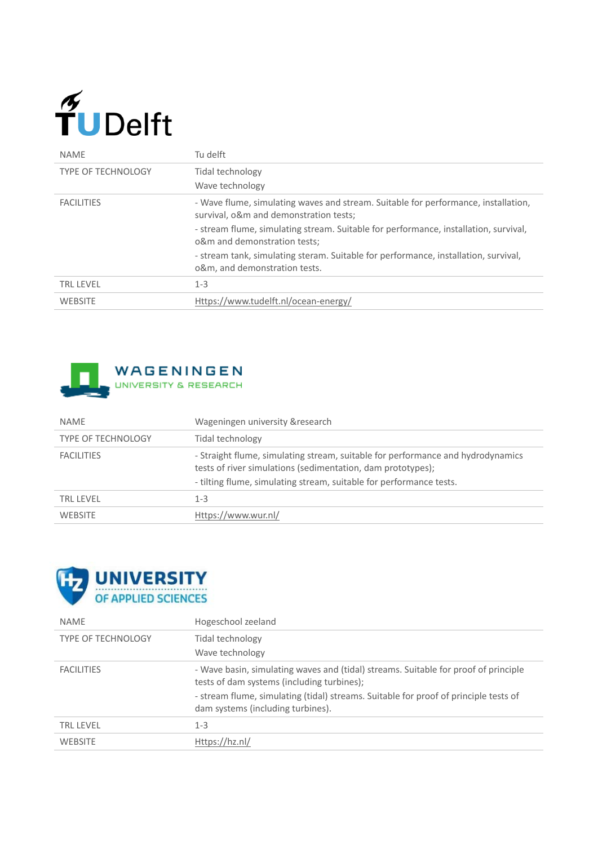# $\widetilde{\mathbf{T}}$ UDelft

| <b>NAME</b>               | Tu delft                                                                                                                     |
|---------------------------|------------------------------------------------------------------------------------------------------------------------------|
| <b>TYPE OF TECHNOLOGY</b> | Tidal technology<br>Wave technology                                                                                          |
| <b>FACILITIES</b>         | - Wave flume, simulating waves and stream. Suitable for performance, installation,<br>survival, o&m and demonstration tests; |
|                           | - stream flume, simulating stream. Suitable for performance, installation, survival,<br>o&m and demonstration tests;         |
|                           | - stream tank, simulating steram. Suitable for performance, installation, survival,<br>o&m, and demonstration tests.         |
| <b>TRL LEVEL</b>          | $1 - 3$                                                                                                                      |
| <b>WEBSITE</b>            | Https://www.tudelft.nl/ocean-energy/                                                                                         |



| <b>NAME</b>               | Wageningen university & research                                                                                                                                                                                      |
|---------------------------|-----------------------------------------------------------------------------------------------------------------------------------------------------------------------------------------------------------------------|
| <b>TYPE OF TECHNOLOGY</b> | Tidal technology                                                                                                                                                                                                      |
| <b>FACILITIES</b>         | - Straight flume, simulating stream, suitable for performance and hydrodynamics<br>tests of river simulations (sedimentation, dam prototypes);<br>- tilting flume, simulating stream, suitable for performance tests. |
| <b>TRL LFVFL</b>          | $1 - 3$                                                                                                                                                                                                               |
| <b>WEBSITE</b>            | Https://www.wur.nl/                                                                                                                                                                                                   |



| <b>NAME</b>               | Hogeschool zeeland                                                                                                                |
|---------------------------|-----------------------------------------------------------------------------------------------------------------------------------|
| <b>TYPE OF TECHNOLOGY</b> | Tidal technology                                                                                                                  |
|                           | Wave technology                                                                                                                   |
| <b>FACILITIES</b>         | - Wave basin, simulating waves and (tidal) streams. Suitable for proof of principle<br>tests of dam systems (including turbines); |
|                           | - stream flume, simulating (tidal) streams. Suitable for proof of principle tests of<br>dam systems (including turbines).         |
| <b>TRL LEVEL</b>          | $1 - 3$                                                                                                                           |
| <b>WEBSITE</b>            | Https://hz.nl/                                                                                                                    |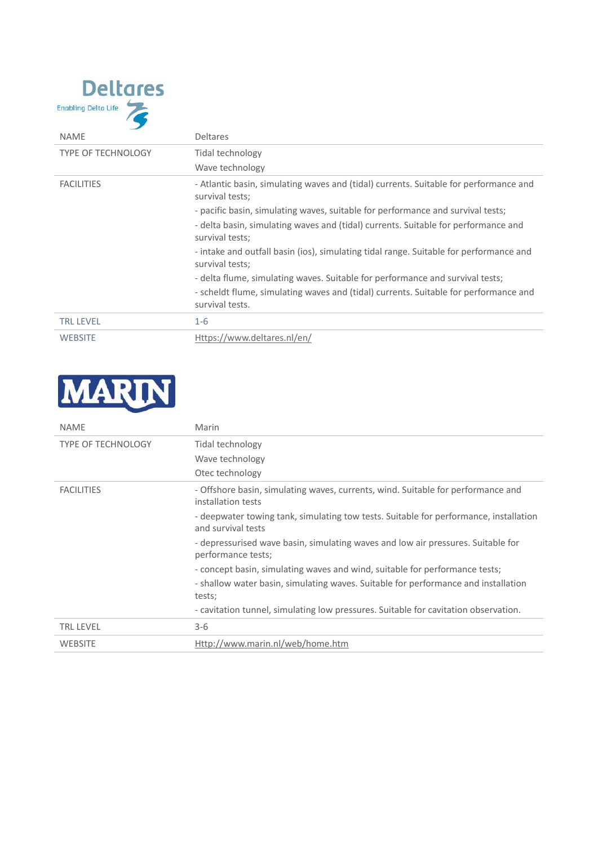

| <b>NAME</b>               | <b>Deltares</b>                                                                                                                                                                                                                                                                                                                                                                                |
|---------------------------|------------------------------------------------------------------------------------------------------------------------------------------------------------------------------------------------------------------------------------------------------------------------------------------------------------------------------------------------------------------------------------------------|
| <b>TYPE OF TECHNOLOGY</b> | Tidal technology<br>Wave technology                                                                                                                                                                                                                                                                                                                                                            |
| <b>FACILITIES</b>         | - Atlantic basin, simulating waves and (tidal) currents. Suitable for performance and<br>survival tests;<br>- pacific basin, simulating waves, suitable for performance and survival tests;<br>- delta basin, simulating waves and (tidal) currents. Suitable for performance and<br>survival tests;<br>- intake and outfall basin (ios), simulating tidal range. Suitable for performance and |
|                           | survival tests;<br>- delta flume, simulating waves. Suitable for performance and survival tests;                                                                                                                                                                                                                                                                                               |
|                           | - scheldt flume, simulating waves and (tidal) currents. Suitable for performance and<br>survival tests.                                                                                                                                                                                                                                                                                        |
| <b>TRL LEVEL</b>          | $1 - 6$                                                                                                                                                                                                                                                                                                                                                                                        |
| <b>WEBSITE</b>            | Https://www.deltares.nl/en/                                                                                                                                                                                                                                                                                                                                                                    |



| <b>NAME</b>               | Marin                                                                                                       |
|---------------------------|-------------------------------------------------------------------------------------------------------------|
| <b>TYPE OF TECHNOLOGY</b> | Tidal technology<br>Wave technology                                                                         |
|                           | Otec technology                                                                                             |
| <b>FACILITIES</b>         | - Offshore basin, simulating waves, currents, wind. Suitable for performance and<br>installation tests      |
|                           | - deepwater towing tank, simulating tow tests. Suitable for performance, installation<br>and survival tests |
|                           | - depressurised wave basin, simulating waves and low air pressures. Suitable for<br>performance tests;      |
|                           | - concept basin, simulating waves and wind, suitable for performance tests;                                 |
|                           | - shallow water basin, simulating waves. Suitable for performance and installation<br>tests;                |
|                           | - cavitation tunnel, simulating low pressures. Suitable for cavitation observation.                         |
| <b>TRL LEVEL</b>          | $3-6$                                                                                                       |
| <b>WEBSITE</b>            | Http://www.marin.nl/web/home.htm                                                                            |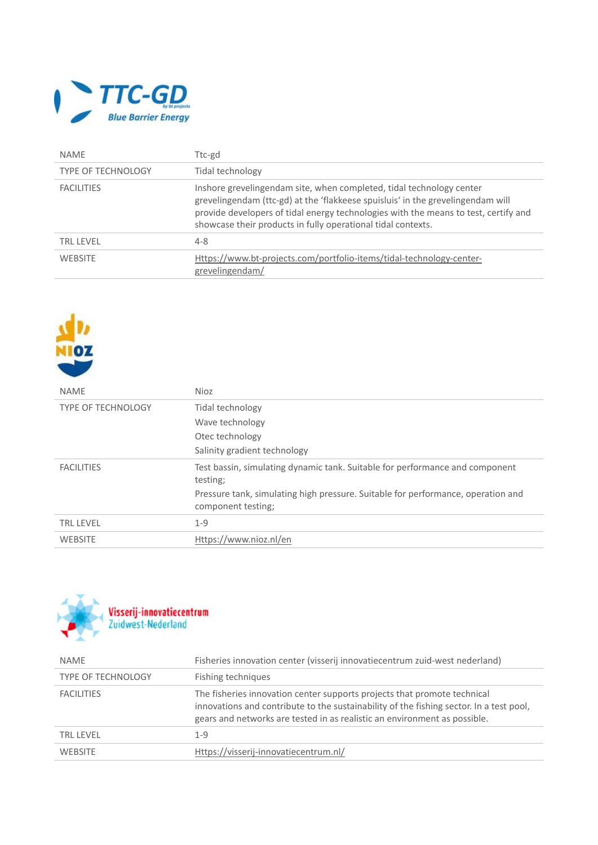

٠

| <b>NAMF</b>        | Ttc-gd                                                                                                                                                                                                                                                                                                         |
|--------------------|----------------------------------------------------------------------------------------------------------------------------------------------------------------------------------------------------------------------------------------------------------------------------------------------------------------|
| TYPE OF TECHNOLOGY | Tidal technology                                                                                                                                                                                                                                                                                               |
| <b>FACILITIES</b>  | Inshore grevelingendam site, when completed, tidal technology center<br>grevelingendam (ttc-gd) at the 'flakkeese spuisluis' in the grevelingendam will<br>provide developers of tidal energy technologies with the means to test, certify and<br>showcase their products in fully operational tidal contexts. |
| <b>TRL LEVEL</b>   | $4 - 8$                                                                                                                                                                                                                                                                                                        |
| <b>WEBSITE</b>     | Https://www.bt-projects.com/portfolio-items/tidal-technology-center-<br>grevelingendam/                                                                                                                                                                                                                        |

| HOZ                       |                                                                                                                                                                                                    |
|---------------------------|----------------------------------------------------------------------------------------------------------------------------------------------------------------------------------------------------|
| <b>NAME</b>               | <b>Nioz</b>                                                                                                                                                                                        |
| <b>TYPE OF TECHNOLOGY</b> | Tidal technology<br>Wave technology<br>Otec technology<br>Salinity gradient technology                                                                                                             |
| <b>FACILITIES</b>         | Test bassin, simulating dynamic tank. Suitable for performance and component<br>testing;<br>Pressure tank, simulating high pressure. Suitable for performance, operation and<br>component testing; |
| <b>TRL LEVEL</b>          | $1 - 9$                                                                                                                                                                                            |
| <b>WEBSITE</b>            | Https://www.nioz.nl/en                                                                                                                                                                             |



| <b>NAME</b>               | Fisheries innovation center (visserij innovatiecentrum zuid-west nederland)                                                                                                                                                                      |
|---------------------------|--------------------------------------------------------------------------------------------------------------------------------------------------------------------------------------------------------------------------------------------------|
| <b>TYPE OF TECHNOLOGY</b> | Fishing techniques                                                                                                                                                                                                                               |
| <b>FACILITIES</b>         | The fisheries innovation center supports projects that promote technical<br>innovations and contribute to the sustainability of the fishing sector. In a test pool,<br>gears and networks are tested in as realistic an environment as possible. |
| <b>TRL LEVEL</b>          | 1-9                                                                                                                                                                                                                                              |
| <b>WEBSITE</b>            | Https://visserij-innovatiecentrum.nl/                                                                                                                                                                                                            |